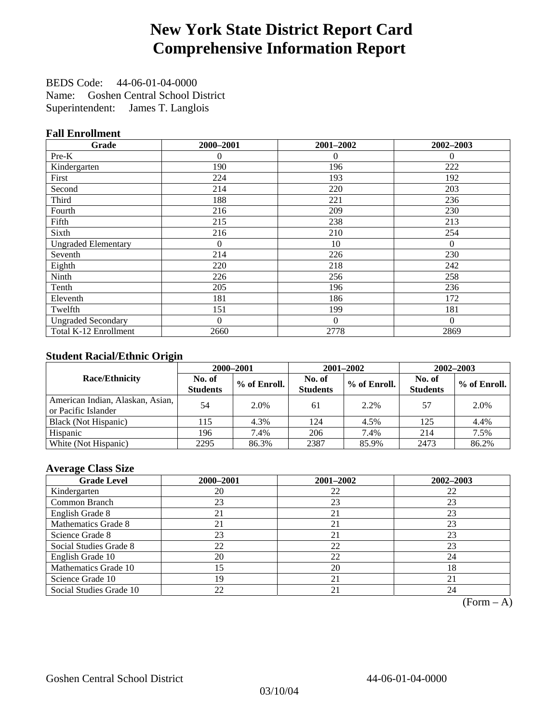# **New York State District Report Card Comprehensive Information Report**

BEDS Code: 44-06-01-04-0000 Name: Goshen Central School District Superintendent: James T. Langlois

#### **Fall Enrollment**

| Grade                      | 2000-2001 | 2001-2002 | 2002-2003 |
|----------------------------|-----------|-----------|-----------|
| Pre-K                      | 0         | 0         | $\theta$  |
| Kindergarten               | 190       | 196       | 222       |
| First                      | 224       | 193       | 192       |
| Second                     | 214       | 220       | 203       |
| Third                      | 188       | 221       | 236       |
| Fourth                     | 216       | 209       | 230       |
| Fifth                      | 215       | 238       | 213       |
| Sixth                      | 216       | 210       | 254       |
| <b>Ungraded Elementary</b> | $\theta$  | 10        | $\Omega$  |
| Seventh                    | 214       | 226       | 230       |
| Eighth                     | 220       | 218       | 242       |
| Ninth                      | 226       | 256       | 258       |
| Tenth                      | 205       | 196       | 236       |
| Eleventh                   | 181       | 186       | 172       |
| Twelfth                    | 151       | 199       | 181       |
| <b>Ungraded Secondary</b>  | $\Omega$  | $\theta$  | $\Omega$  |
| Total K-12 Enrollment      | 2660      | 2778      | 2869      |

#### **Student Racial/Ethnic Origin**

|                                                         |                           | 2000-2001<br>2001-2002<br>$2002 - 2003$ |                           |              |                           |                |
|---------------------------------------------------------|---------------------------|-----------------------------------------|---------------------------|--------------|---------------------------|----------------|
| <b>Race/Ethnicity</b>                                   | No. of<br><b>Students</b> | % of Enroll.                            | No. of<br><b>Students</b> | % of Enroll. | No. of<br><b>Students</b> | $%$ of Enroll. |
| American Indian, Alaskan, Asian,<br>or Pacific Islander | 54                        | 2.0%                                    | 61                        | 2.2%         | 57                        | 2.0%           |
| Black (Not Hispanic)                                    | 115                       | 4.3%                                    | 124                       | 4.5%         | 125                       | 4.4%           |
| Hispanic                                                | 196                       | 7.4%                                    | 206                       | 7.4%         | 214                       | 7.5%           |
| White (Not Hispanic)                                    | 2295                      | 86.3%                                   | 2387                      | 85.9%        | 2473                      | 86.2%          |

#### **Average Class Size**

| <b>Grade Level</b>      | 2000-2001 | 2001-2002 | 2002-2003 |
|-------------------------|-----------|-----------|-----------|
| Kindergarten            | 20        | 22        | 22        |
| Common Branch           | 23        | 23        | 23        |
| English Grade 8         | 21        | 21        | 23        |
| Mathematics Grade 8     | 21        | 21        | 23        |
| Science Grade 8         | 23        | 21        | 23        |
| Social Studies Grade 8  | 22        | 22        | 23        |
| English Grade 10        | 20        | 22        | 24        |
| Mathematics Grade 10    | 15        | 20        | 18        |
| Science Grade 10        | 19        | 21        | 21        |
| Social Studies Grade 10 | 22        | 21        | 24        |

 $(Form - A)$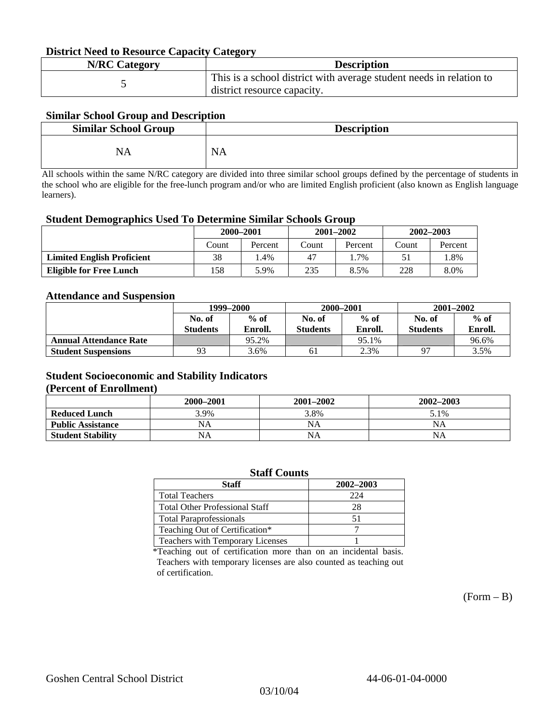#### **District Need to Resource Capacity Category**

| <b>N/RC Category</b> | <b>Description</b>                                                                                 |
|----------------------|----------------------------------------------------------------------------------------------------|
|                      | This is a school district with average student needs in relation to<br>district resource capacity. |

#### **Similar School Group and Description**

| <b>Similar School Group</b> | <b>Description</b> |
|-----------------------------|--------------------|
| NA                          | $N_A$              |

All schools within the same N/RC category are divided into three similar school groups defined by the percentage of students in the school who are eligible for the free-lunch program and/or who are limited English proficient (also known as English language learners).

#### **Student Demographics Used To Determine Similar Schools Group**

| 0                                 |           |         |       |               |               |         |
|-----------------------------------|-----------|---------|-------|---------------|---------------|---------|
|                                   | 2000-2001 |         |       | $2001 - 2002$ | $2002 - 2003$ |         |
|                                   | Count     | Percent | Count | Percent       | Count         | Percent |
| <b>Limited English Proficient</b> | 38        | . .4%   | 47    | . .7%         |               | l.8%    |
| <b>Eligible for Free Lunch</b>    | l 58      | 5.9%    | 235   | 8.5%          | 228           | 8.0%    |

#### **Attendance and Suspension**

|                               | 1999–2000       |         |                 | 2000-2001 | $2001 - 2002$   |         |
|-------------------------------|-----------------|---------|-----------------|-----------|-----------------|---------|
|                               | No. of          | $%$ of  | No. of          | $%$ of    | No. of          | $\%$ of |
|                               | <b>Students</b> | Enroll. | <b>Students</b> | Enroll.   | <b>Students</b> | Enroll. |
| <b>Annual Attendance Rate</b> |                 | 95.2%   |                 | 95.1%     |                 | 96.6%   |
| <b>Student Suspensions</b>    | 93              | 3.6%    | 61              | 2.3%      | 97              | 3.5%    |

### **Student Socioeconomic and Stability Indicators**

#### **(Percent of Enrollment)**

|                          | 2000-2001 | $2001 - 2002$ | 2002-2003 |
|--------------------------|-----------|---------------|-----------|
| <b>Reduced Lunch</b>     | 3.9%      | 3.8%          | 5.1%      |
| <b>Public Assistance</b> | NA        | NA            | ΝA        |
| <b>Student Stability</b> | NA        | NA            | NΑ        |

| <b>Staff Counts</b>                   |           |  |  |  |  |
|---------------------------------------|-----------|--|--|--|--|
| <b>Staff</b>                          | 2002-2003 |  |  |  |  |
| <b>Total Teachers</b>                 | 224       |  |  |  |  |
| <b>Total Other Professional Staff</b> | 28        |  |  |  |  |
| <b>Total Paraprofessionals</b>        | 51        |  |  |  |  |
| Teaching Out of Certification*        |           |  |  |  |  |
| Teachers with Temporary Licenses      |           |  |  |  |  |

\*Teaching out of certification more than on an incidental basis. Teachers with temporary licenses are also counted as teaching out of certification.

 $(Form - B)$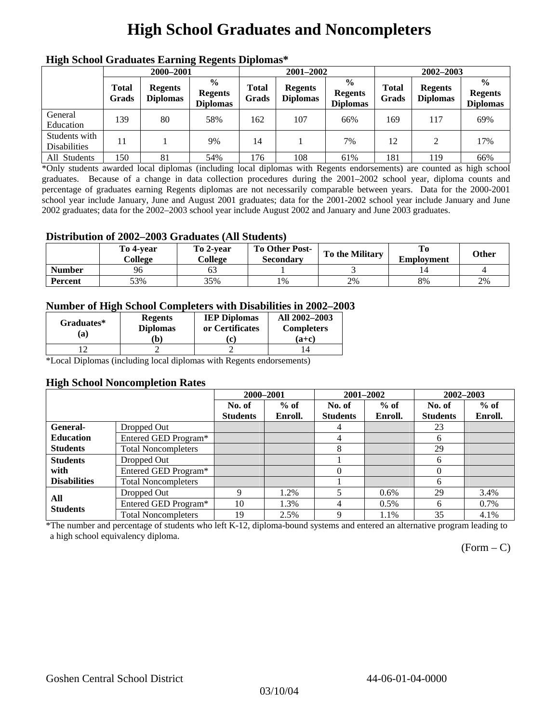# **High School Graduates and Noncompleters**

| mgn benoor Grauuates Larming Regents Diplomas |                       |                                   |                                                    |                       |                                   |                                                    |                       |                                   |                                                    |  |
|-----------------------------------------------|-----------------------|-----------------------------------|----------------------------------------------------|-----------------------|-----------------------------------|----------------------------------------------------|-----------------------|-----------------------------------|----------------------------------------------------|--|
|                                               | 2000-2001             |                                   |                                                    |                       | 2001-2002                         |                                                    |                       | 2002-2003                         |                                                    |  |
|                                               | <b>Total</b><br>Grads | <b>Regents</b><br><b>Diplomas</b> | $\frac{0}{0}$<br><b>Regents</b><br><b>Diplomas</b> | <b>Total</b><br>Grads | <b>Regents</b><br><b>Diplomas</b> | $\frac{0}{0}$<br><b>Regents</b><br><b>Diplomas</b> | <b>Total</b><br>Grads | <b>Regents</b><br><b>Diplomas</b> | $\frac{0}{0}$<br><b>Regents</b><br><b>Diplomas</b> |  |
| General<br>Education                          | 139                   | 80                                | 58%                                                | 162                   | 107                               | 66%                                                | 169                   | 117                               | 69%                                                |  |
| Students with<br><b>Disabilities</b>          | 11                    |                                   | 9%                                                 | 14                    |                                   | 7%                                                 | 12                    | $\mathcal{L}$                     | 17%                                                |  |
| All Students                                  | 150                   | 81                                | 54%                                                | 176                   | 108                               | 61%                                                | 181                   | 119                               | 66%                                                |  |

### **High School Graduates Earning Regents Diplomas\***

\*Only students awarded local diplomas (including local diplomas with Regents endorsements) are counted as high school graduates. Because of a change in data collection procedures during the 2001–2002 school year, diploma counts and percentage of graduates earning Regents diplomas are not necessarily comparable between years. Data for the 2000-2001 school year include January, June and August 2001 graduates; data for the 2001-2002 school year include January and June 2002 graduates; data for the 2002–2003 school year include August 2002 and January and June 2003 graduates.

#### **Distribution of 2002–2003 Graduates (All Students)**

|                | To 4-vear<br>College | To 2-vear<br>College | To Other Post-<br>Secondary | To the Military | <b>Employment</b> | Other |
|----------------|----------------------|----------------------|-----------------------------|-----------------|-------------------|-------|
| <b>Number</b>  | 96                   |                      |                             |                 |                   |       |
| <b>Percent</b> | 53%                  | 35%                  | 1%                          | 2%              | 8%                | 2%    |

#### **Number of High School Completers with Disabilities in 2002–2003**

| Graduates*<br>(a) | <b>Regents</b><br><b>Diplomas</b><br>b) | <b>IEP Diplomas</b><br>or Certificates<br>'c) | All 2002-2003<br><b>Completers</b><br>(a+c) |
|-------------------|-----------------------------------------|-----------------------------------------------|---------------------------------------------|
|                   |                                         |                                               |                                             |

\*Local Diplomas (including local diplomas with Regents endorsements)

#### **High School Noncompletion Rates**

|                        |                            | 2000-2001       |         |                 | 2001-2002 | 2002-2003       |         |
|------------------------|----------------------------|-----------------|---------|-----------------|-----------|-----------------|---------|
|                        |                            | No. of          | $%$ of  | No. of          | $%$ of    | No. of          | $%$ of  |
|                        |                            | <b>Students</b> | Enroll. | <b>Students</b> | Enroll.   | <b>Students</b> | Enroll. |
| General-               | Dropped Out                |                 |         | 4               |           | 23              |         |
| <b>Education</b>       | Entered GED Program*       |                 |         | 4               |           | 6               |         |
| <b>Students</b>        | <b>Total Noncompleters</b> |                 |         | 8               |           | 29              |         |
| <b>Students</b>        | Dropped Out                |                 |         |                 |           | 6               |         |
| with                   | Entered GED Program*       |                 |         | $\Omega$        |           | $\Omega$        |         |
| <b>Disabilities</b>    | <b>Total Noncompleters</b> |                 |         |                 |           | 6               |         |
|                        | Dropped Out                | 9               | 1.2%    |                 | $0.6\%$   | 29              | 3.4%    |
| All<br><b>Students</b> | Entered GED Program*       | 10              | 1.3%    | 4               | $0.5\%$   | 6               | 0.7%    |
|                        | <b>Total Noncompleters</b> | 19              | 2.5%    | 9               | 1.1%      | 35              | 4.1%    |

\*The number and percentage of students who left K-12, diploma-bound systems and entered an alternative program leading to a high school equivalency diploma.

 $(Form - C)$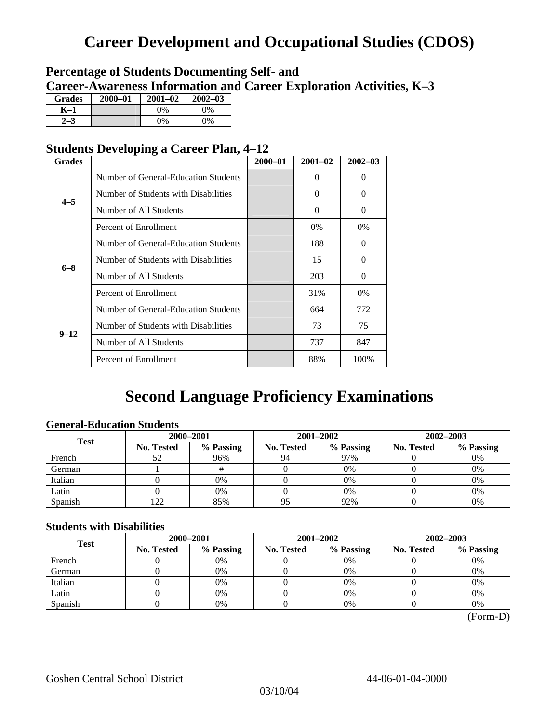# **Career Development and Occupational Studies (CDOS)**

### **Percentage of Students Documenting Self- and Career-Awareness Information and Career Exploration Activities, K–3**

| <b>Grades</b> | $2000 - 01$ | $2001 - 02$ | $2002 - 03$ |
|---------------|-------------|-------------|-------------|
| K–1           |             | $0\%$       | $0\%$       |
|               |             | $0\%$       | 0%          |

### **Students Developing a Career Plan, 4–12**

| <b>Grades</b> |                                      | $2000 - 01$ | $2001 - 02$ | $2002 - 03$ |
|---------------|--------------------------------------|-------------|-------------|-------------|
|               | Number of General-Education Students |             | $\theta$    | $\theta$    |
| $4 - 5$       | Number of Students with Disabilities |             | 0           | $\Omega$    |
|               | Number of All Students               |             | $\theta$    | $\Omega$    |
|               | Percent of Enrollment                |             | $0\%$       | 0%          |
|               | Number of General-Education Students |             | 188         | $\Omega$    |
|               | Number of Students with Disabilities |             | 15          | $\Omega$    |
| $6 - 8$       | Number of All Students               |             | 203         | $\Omega$    |
|               | Percent of Enrollment                |             | 31%         | $0\%$       |
|               | Number of General-Education Students |             | 664         | 772         |
|               | Number of Students with Disabilities |             | 73          | 75          |
| $9 - 12$      | Number of All Students               |             | 737         | 847         |
|               | Percent of Enrollment                |             | 88%         | 100%        |

# **Second Language Proficiency Examinations**

### **General-Education Students**

| <b>Test</b> | 2000-2001         |           |            | 2001-2002 | 2002-2003         |           |  |
|-------------|-------------------|-----------|------------|-----------|-------------------|-----------|--|
|             | <b>No. Tested</b> | % Passing | No. Tested | % Passing | <b>No. Tested</b> | % Passing |  |
| French      | 52                | 96%       | 94         | 97%       |                   | 0%        |  |
| German      |                   |           |            | $0\%$     |                   | 0%        |  |
| Italian     |                   | 0%        |            | 0%        |                   | 0%        |  |
| Latin       |                   | 0%        |            | 0%        |                   | 0%        |  |
| Spanish     | 122               | 85%       | 95         | 92%       |                   | 0%        |  |

### **Students with Disabilities**

| <b>Test</b>                    | 2000-2001 |            |           | 2001-2002         | 2002-2003 |    |  |
|--------------------------------|-----------|------------|-----------|-------------------|-----------|----|--|
| % Passing<br><b>No. Tested</b> |           | No. Tested | % Passing | <b>No. Tested</b> | % Passing |    |  |
| French                         |           | 0%         |           | $0\%$             |           | 0% |  |
| German                         |           | 0%         |           | $0\%$             |           | 0% |  |
| Italian                        |           | 0%         |           | 0%                |           | 0% |  |
| Latin                          |           | 0%         |           | $0\%$             |           | 0% |  |
| Spanish                        |           | 0%         |           | 0%                |           | 0% |  |

(Form-D)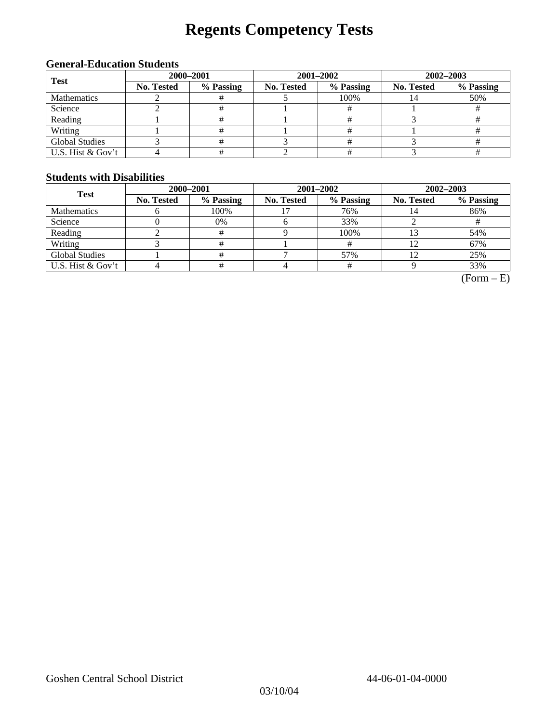# **Regents Competency Tests**

### **General-Education Students**

| <b>Test</b>           | 2000-2001  |           |            |                                              | 2002-2003 |     |  |
|-----------------------|------------|-----------|------------|----------------------------------------------|-----------|-----|--|
|                       | No. Tested | % Passing | No. Tested | 2001-2002<br>% Passing<br>No. Tested<br>100% | % Passing |     |  |
| <b>Mathematics</b>    |            |           |            |                                              |           | 50% |  |
| Science               |            |           |            |                                              |           |     |  |
| Reading               |            |           |            |                                              |           |     |  |
| Writing               |            |           |            |                                              |           |     |  |
| <b>Global Studies</b> |            |           |            |                                              |           |     |  |
| U.S. Hist & Gov't     |            |           |            |                                              |           |     |  |

#### **Students with Disabilities**

| <b>Test</b>           | 2000-2001  |           |            | 2001-2002 | 2002-2003                     |           |  |
|-----------------------|------------|-----------|------------|-----------|-------------------------------|-----------|--|
|                       | No. Tested | % Passing | No. Tested | % Passing | <b>No. Tested</b><br>14<br>12 | % Passing |  |
| <b>Mathematics</b>    |            | 100%      |            | 76%       |                               | 86%       |  |
| Science               |            | 0%        |            | 33%       |                               |           |  |
| Reading               |            | #         |            | 100%      |                               | 54%       |  |
| Writing               |            |           |            |           |                               | 67%       |  |
| <b>Global Studies</b> |            |           |            | 57%       |                               | 25%       |  |
| U.S. Hist & Gov't     |            |           |            |           |                               | 33%       |  |

 $(Form - E)$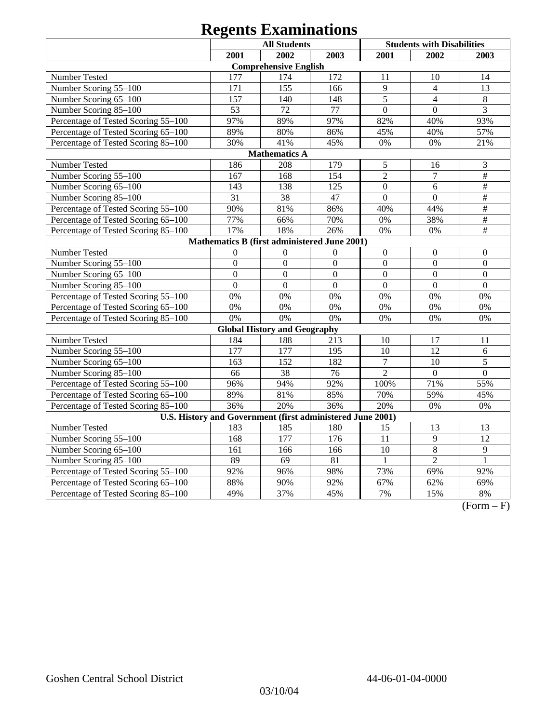| <b>All Students</b>                                        |                |                                              |                  |                  | <b>Students with Disabilities</b> |                           |
|------------------------------------------------------------|----------------|----------------------------------------------|------------------|------------------|-----------------------------------|---------------------------|
|                                                            | 2001           | 2002                                         | 2003             | 2001             | 2002                              | 2003                      |
|                                                            |                | <b>Comprehensive English</b>                 |                  |                  |                                   |                           |
| <b>Number Tested</b>                                       | 177            | 174                                          | 172              | 11               | 10                                | 14                        |
| Number Scoring 55-100                                      | 171            | 155                                          | 166              | 9                | $\overline{4}$                    | 13                        |
| Number Scoring 65-100                                      | 157            | 140                                          | 148              | 5                | $\overline{4}$                    | $\,8\,$                   |
| Number Scoring 85-100                                      | 53             | 72                                           | 77               | $\overline{0}$   | $\overline{0}$                    | $\overline{3}$            |
| Percentage of Tested Scoring 55-100                        | 97%            | 89%                                          | 97%              | 82%              | 40%                               | 93%                       |
| Percentage of Tested Scoring 65-100                        | 89%            | 80%                                          | 86%              | 45%              | 40%                               | 57%                       |
| Percentage of Tested Scoring 85-100                        | 30%            | 41%                                          | 45%              | 0%               | 0%                                | 21%                       |
|                                                            |                | <b>Mathematics A</b>                         |                  |                  |                                   |                           |
| Number Tested                                              | 186            | 208                                          | 179              | $\mathfrak s$    | 16                                | 3                         |
| Number Scoring 55-100                                      | 167            | 168                                          | 154              | $\overline{2}$   | $\overline{7}$                    | $\overline{\overline{H}}$ |
| Number Scoring 65-100                                      | 143            | 138                                          | 125              | $\overline{0}$   | 6                                 | $\#$                      |
| Number Scoring 85-100                                      | 31             | 38                                           | 47               | $\mathbf{0}$     | $\mathbf{0}$                      | $\overline{\#}$           |
| Percentage of Tested Scoring 55-100                        | 90%            | 81%                                          | 86%              | 40%              | 44%                               | $\#$                      |
| Percentage of Tested Scoring 65-100                        | 77%            | 66%                                          | 70%              | 0%               | 38%                               | $\frac{1}{2}$             |
| Percentage of Tested Scoring 85-100                        | 17%            | 18%                                          | 26%              | 0%               | 0%                                | $\#$                      |
|                                                            |                | Mathematics B (first administered June 2001) |                  |                  |                                   |                           |
| Number Tested                                              | $\overline{0}$ | $\mathbf{0}$                                 | $\boldsymbol{0}$ | $\boldsymbol{0}$ | $\mathbf{0}$                      | $\mathbf{0}$              |
| Number Scoring 55-100                                      | $\overline{0}$ | $\overline{0}$                               | $\overline{0}$   | $\overline{0}$   | $\overline{0}$                    | $\overline{0}$            |
| Number Scoring 65-100                                      | $\overline{0}$ | $\overline{0}$                               | $\overline{0}$   | $\overline{0}$   | $\overline{0}$                    | $\overline{0}$            |
| Number Scoring 85-100                                      | $\overline{0}$ | $\overline{0}$                               | $\overline{0}$   | $\overline{0}$   | $\Omega$                          | $\Omega$                  |
| Percentage of Tested Scoring 55-100                        | 0%             | 0%                                           | 0%               | 0%               | 0%                                | 0%                        |
| Percentage of Tested Scoring 65-100                        | 0%             | 0%                                           | 0%               | 0%               | 0%                                | 0%                        |
| Percentage of Tested Scoring 85-100                        | 0%             | 0%                                           | 0%               | 0%               | 0%                                | 0%                        |
|                                                            |                | <b>Global History and Geography</b>          |                  |                  |                                   |                           |
| Number Tested                                              | 184            | 188                                          | 213              | 10               | 17                                | 11                        |
| Number Scoring 55-100                                      | 177            | 177                                          | 195              | 10               | $\overline{12}$                   | 6                         |
| Number Scoring 65-100                                      | 163            | 152                                          | 182              | $\overline{7}$   | 10                                | $\overline{5}$            |
| Number Scoring 85-100                                      | 66             | $\overline{38}$                              | $\overline{76}$  | $\overline{2}$   | $\Omega$                          | $\overline{0}$            |
| Percentage of Tested Scoring 55-100                        | 96%            | 94%                                          | 92%              | 100%             | 71%                               | 55%                       |
| Percentage of Tested Scoring 65-100                        | 89%            | 81%                                          | 85%              | 70%              | 59%                               | 45%                       |
| Percentage of Tested Scoring 85-100                        | 36%            | 20%                                          | 36%              | 20%              | 0%                                | 0%                        |
| U.S. History and Government (first administered June 2001) |                |                                              |                  |                  |                                   |                           |
| Number Tested                                              | 183            | 185                                          | 180              | 15               | 13                                | 13                        |
| Number Scoring 55-100                                      | 168            | 177                                          | 176              | $\overline{11}$  | $\overline{9}$                    | 12                        |
| Number Scoring 65-100                                      | 161            | 166                                          | 166              | $\overline{10}$  | $\overline{8}$                    | $\overline{9}$            |
| Number Scoring 85-100                                      | 89             | $\overline{69}$                              | $\overline{81}$  | $\mathbf{1}$     | $\overline{2}$                    | $\mathbf{1}$              |
| Percentage of Tested Scoring 55-100                        | 92%            | 96%                                          | 98%              | 73%              | 69%                               | 92%                       |
| Percentage of Tested Scoring 65-100                        | 88%            | 90%                                          | 92%              | 67%              | 62%                               | 69%                       |
| Percentage of Tested Scoring 85-100                        | 49%            | 37%                                          | 45%              | 7%               | 15%                               | 8%                        |

 $(Form - F)$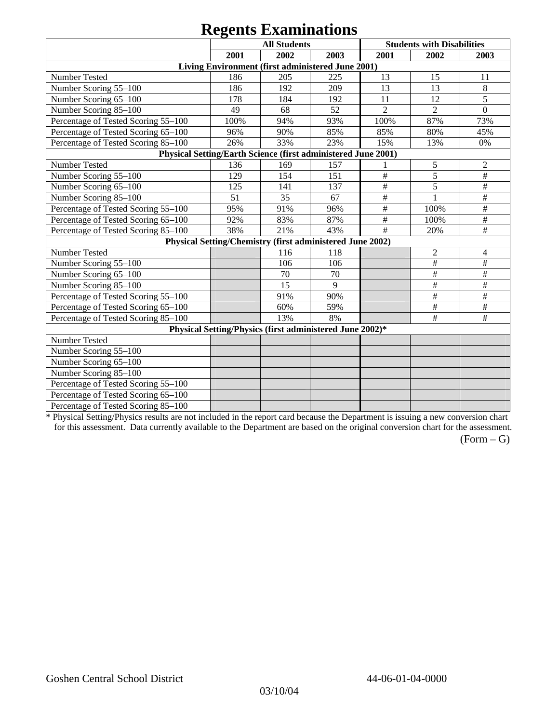|                                                               |      | $\sim$<br><b>All Students</b>                             |      |                           | <b>Students with Disabilities</b> |                           |
|---------------------------------------------------------------|------|-----------------------------------------------------------|------|---------------------------|-----------------------------------|---------------------------|
|                                                               | 2001 | 2002                                                      | 2003 | 2001                      | 2002                              | 2003                      |
|                                                               |      | Living Environment (first administered June 2001)         |      |                           |                                   |                           |
| Number Tested                                                 | 186  | 205                                                       | 225  | 13                        | 15                                | 11                        |
| Number Scoring 55-100                                         | 186  | 192                                                       | 209  | 13                        | 13                                | 8                         |
| Number Scoring 65-100                                         | 178  | 184                                                       | 192  | 11                        | 12                                | 5                         |
| Number Scoring 85-100                                         | 49   | 68                                                        | 52   | $\overline{2}$            | $\overline{2}$                    | $\overline{0}$            |
| Percentage of Tested Scoring 55-100                           | 100% | 94%                                                       | 93%  | 100%                      | 87%                               | 73%                       |
| Percentage of Tested Scoring 65-100                           | 96%  | 90%                                                       | 85%  | 85%                       | 80%                               | 45%                       |
| Percentage of Tested Scoring 85-100                           | 26%  | 33%                                                       | 23%  | 15%                       | 13%                               | 0%                        |
| Physical Setting/Earth Science (first administered June 2001) |      |                                                           |      |                           |                                   |                           |
| Number Tested                                                 | 136  | 169                                                       | 157  |                           | 5                                 | 2                         |
| Number Scoring 55-100                                         | 129  | 154                                                       | 151  | $\#$                      | 5                                 | $\#$                      |
| Number Scoring 65-100                                         | 125  | 141                                                       | 137  | $\overline{\overline{H}}$ | $\overline{5}$                    | $\#$                      |
| Number Scoring 85-100                                         | 51   | 35                                                        | 67   | $\#$                      | 1                                 | $\#$                      |
| Percentage of Tested Scoring 55-100                           | 95%  | 91%                                                       | 96%  | $\#$                      | 100%                              | $\#$                      |
| Percentage of Tested Scoring 65-100                           | 92%  | 83%                                                       | 87%  | $\#$                      | 100%                              | $\#$                      |
| Percentage of Tested Scoring 85-100                           | 38%  | 21%                                                       | 43%  | #                         | 20%                               | $\#$                      |
|                                                               |      | Physical Setting/Chemistry (first administered June 2002) |      |                           |                                   |                           |
| Number Tested                                                 |      | 116                                                       | 118  |                           | $\overline{2}$                    | 4                         |
| Number Scoring 55-100                                         |      | 106                                                       | 106  |                           | $\#$                              | $\#$                      |
| Number Scoring 65-100                                         |      | 70                                                        | 70   |                           | $\#$                              | $\#$                      |
| Number Scoring 85-100                                         |      | 15                                                        | 9    |                           | $\#$                              | $\#$                      |
| Percentage of Tested Scoring 55-100                           |      | 91%                                                       | 90%  |                           | $\#$                              | $\overline{\overline{H}}$ |
| Percentage of Tested Scoring 65-100                           |      | 60%                                                       | 59%  |                           | $\#$                              | $\#$                      |
| Percentage of Tested Scoring 85-100                           |      | 13%                                                       | 8%   |                           | $\#$                              | $\#$                      |
|                                                               |      | Physical Setting/Physics (first administered June 2002)*  |      |                           |                                   |                           |
| Number Tested                                                 |      |                                                           |      |                           |                                   |                           |
| Number Scoring 55-100                                         |      |                                                           |      |                           |                                   |                           |
| Number Scoring 65-100                                         |      |                                                           |      |                           |                                   |                           |
| Number Scoring 85-100                                         |      |                                                           |      |                           |                                   |                           |
| Percentage of Tested Scoring 55-100                           |      |                                                           |      |                           |                                   |                           |
| Percentage of Tested Scoring 65-100                           |      |                                                           |      |                           |                                   |                           |
| Percentage of Tested Scoring 85-100                           |      |                                                           |      |                           |                                   |                           |

\* Physical Setting/Physics results are not included in the report card because the Department is issuing a new conversion chart for this assessment. Data currently available to the Department are based on the original conversion chart for the assessment.

 $(Form - G)$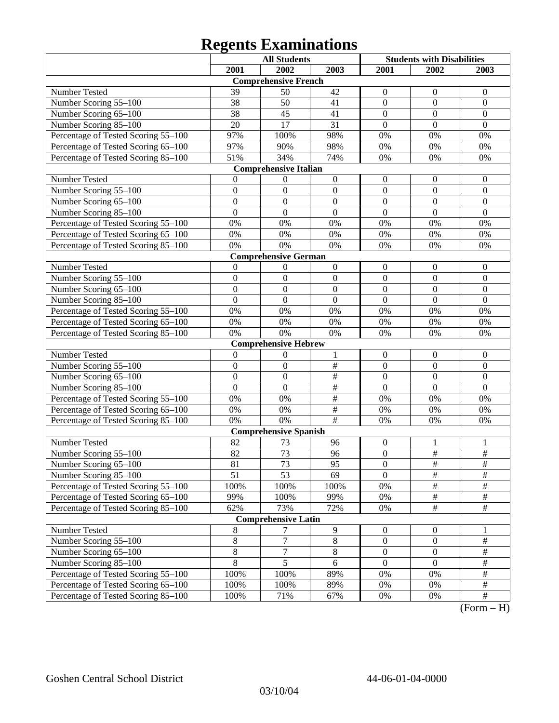|                                     |                | <b>All Students</b>          |                         | <b>Students with Disabilities</b> |                  |                  |
|-------------------------------------|----------------|------------------------------|-------------------------|-----------------------------------|------------------|------------------|
|                                     | 2001           | 2002                         | 2003                    | 2001                              | 2002             | 2003             |
|                                     |                | <b>Comprehensive French</b>  |                         |                                   |                  |                  |
| Number Tested                       | 39             | 50                           | 42                      | $\mathbf{0}$                      | $\boldsymbol{0}$ | $\overline{0}$   |
| Number Scoring 55-100               | 38             | 50                           | 41                      | $\overline{0}$                    | $\boldsymbol{0}$ | $\mathbf{0}$     |
| Number Scoring 65-100               | 38             | 45                           | 41                      | $\overline{0}$                    | $\mathbf{0}$     | $\overline{0}$   |
| Number Scoring 85-100               | 20             | 17                           | 31                      | $\overline{0}$                    | $\overline{0}$   | $\overline{0}$   |
| Percentage of Tested Scoring 55-100 | 97%            | 100%                         | 98%                     | 0%                                | 0%               | 0%               |
| Percentage of Tested Scoring 65-100 | 97%            | 90%                          | 98%                     | 0%                                | 0%               | 0%               |
| Percentage of Tested Scoring 85-100 | 51%            | 34%                          | 74%                     | 0%                                | 0%               | 0%               |
|                                     |                | <b>Comprehensive Italian</b> |                         |                                   |                  |                  |
| Number Tested                       | $\Omega$       | $\boldsymbol{0}$             | $\boldsymbol{0}$        | $\boldsymbol{0}$                  | $\boldsymbol{0}$ | $\boldsymbol{0}$ |
| Number Scoring 55-100               | $\overline{0}$ | $\mathbf{0}$                 | $\mathbf{0}$            | $\overline{0}$                    | $\overline{0}$   | $\mathbf{0}$     |
| Number Scoring 65-100               | $\overline{0}$ | $\mathbf{0}$                 | $\overline{0}$          | $\overline{0}$                    | $\overline{0}$   | $\mathbf{0}$     |
| Number Scoring 85-100               | $\overline{0}$ | $\boldsymbol{0}$             | $\overline{0}$          | $\overline{0}$                    | $\overline{0}$   | $\mathbf{0}$     |
| Percentage of Tested Scoring 55-100 | $0\%$          | 0%                           | 0%                      | 0%                                | 0%               | 0%               |
| Percentage of Tested Scoring 65-100 | $0\%$          | 0%                           | 0%                      | 0%                                | 0%               | 0%               |
| Percentage of Tested Scoring 85-100 | 0%             | 0%                           | 0%                      | 0%                                | 0%               | 0%               |
|                                     |                | <b>Comprehensive German</b>  |                         |                                   |                  |                  |
| Number Tested                       | $\mathbf{0}$   | 0                            | $\boldsymbol{0}$        | $\boldsymbol{0}$                  | $\boldsymbol{0}$ | $\boldsymbol{0}$ |
| Number Scoring 55-100               | $\overline{0}$ | $\mathbf{0}$                 | $\mathbf{0}$            | $\overline{0}$                    | $\boldsymbol{0}$ | $\boldsymbol{0}$ |
| Number Scoring 65-100               | $\overline{0}$ | $\overline{0}$               | $\overline{0}$          | $\overline{0}$                    | $\overline{0}$   | $\overline{0}$   |
| Number Scoring 85-100               | $\overline{0}$ | $\overline{0}$               | $\mathbf{0}$            | $\overline{0}$                    | $\overline{0}$   | $\overline{0}$   |
| Percentage of Tested Scoring 55-100 | 0%             | 0%                           | 0%                      | 0%                                | 0%               | 0%               |
| Percentage of Tested Scoring 65-100 | $0\%$          | 0%                           | 0%                      | 0%                                | 0%               | 0%               |
| Percentage of Tested Scoring 85-100 | 0%             | 0%                           | 0%                      | 0%                                | 0%               | 0%               |
|                                     |                | <b>Comprehensive Hebrew</b>  |                         |                                   |                  |                  |
| Number Tested                       | $\mathbf{0}$   | $\boldsymbol{0}$             | 1                       | $\boldsymbol{0}$                  | $\boldsymbol{0}$ | $\boldsymbol{0}$ |
| Number Scoring 55-100               | $\overline{0}$ | $\mathbf{0}$                 | $\overline{\#}$         | $\overline{0}$                    | $\overline{0}$   | $\boldsymbol{0}$ |
| Number Scoring 65-100               | $\overline{0}$ | $\mathbf{0}$                 | $\overline{\ddot{\pi}}$ | $\overline{0}$                    | $\overline{0}$   | $\boldsymbol{0}$ |
| Number Scoring 85-100               | $\overline{0}$ | $\boldsymbol{0}$             | $\overline{\ddot{\pi}}$ | $\overline{0}$                    | $\mathbf{0}$     | $\mathbf{0}$     |
| Percentage of Tested Scoring 55-100 | $0\%$          | 0%                           | $\overline{\ddot{\pi}}$ | 0%                                | 0%               | 0%               |
| Percentage of Tested Scoring 65-100 | $0\%$          | 0%                           | $\overline{\#}$         | 0%                                | 0%               | 0%               |
| Percentage of Tested Scoring 85-100 | 0%             | 0%                           | #                       | 0%                                | 0%               | 0%               |
|                                     |                | <b>Comprehensive Spanish</b> |                         |                                   |                  |                  |
| Number Tested                       | 82             | 73                           | 96                      | $\boldsymbol{0}$                  | 1                | 1                |
| Number Scoring 55-100               | 82             | 73                           | 96                      | $\overline{0}$                    | $\#$             | $\frac{1}{2}$    |
| Number Scoring 65–100               | 81             | 73                           | 95                      | $\theta$                          | $\#$             | $\overline{\#}$  |
| Number Scoring 85-100               | 51             | 53                           | 69                      | $\overline{0}$                    | $\overline{\#}$  | $\frac{1}{2}$    |
| Percentage of Tested Scoring 55-100 | 100%           | 100%                         | 100%                    | $0\%$                             | $\#$             | $\#$             |
| Percentage of Tested Scoring 65-100 | 99%            | 100%                         | 99%                     | $0\%$                             | $\#$             | $\frac{1}{2}$    |
| Percentage of Tested Scoring 85-100 | 62%            | 73%                          | 72%                     | $0\%$                             | $\overline{\#}$  | $\frac{1}{2}$    |
|                                     |                | <b>Comprehensive Latin</b>   |                         |                                   |                  |                  |
| Number Tested                       | $\,8\,$        | 7                            | $\boldsymbol{9}$        | $\boldsymbol{0}$                  | $\boldsymbol{0}$ | 1                |
| Number Scoring 55-100               | $\,8\,$        | $\overline{7}$               | $\overline{8}$          | $\boldsymbol{0}$                  | $\boldsymbol{0}$ | $\#$             |
| Number Scoring 65-100               | $\,8\,$        | $\boldsymbol{7}$             | $8\,$                   | $\boldsymbol{0}$                  | $\boldsymbol{0}$ | $\#$             |
| Number Scoring 85-100               | $\,8\,$        | $\overline{5}$               | 6                       | $\overline{0}$                    | $\boldsymbol{0}$ | $\frac{1}{2}$    |
| Percentage of Tested Scoring 55-100 | 100%           | 100%                         | 89%                     | $0\%$                             | 0%               | $\frac{1}{2}$    |
| Percentage of Tested Scoring 65-100 | 100%           | 100%                         | 89%                     | $0\%$                             | 0%               | $\frac{1}{2}$    |
| Percentage of Tested Scoring 85-100 | 100%           | 71%                          | 67%                     | 0%                                | $0\%$            | $\frac{1}{2}$    |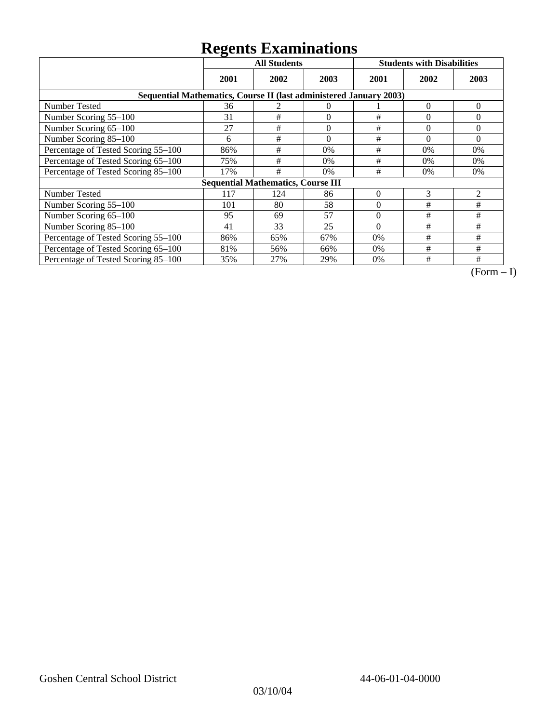|                                                                    | <b>All Students</b> |                                           |          | <b>Students with Disabilities</b> |          |                |
|--------------------------------------------------------------------|---------------------|-------------------------------------------|----------|-----------------------------------|----------|----------------|
|                                                                    | 2001                | 2002                                      | 2003     | 2001                              | 2002     | 2003           |
| Sequential Mathematics, Course II (last administered January 2003) |                     |                                           |          |                                   |          |                |
| Number Tested                                                      | 36                  |                                           | 0        |                                   | $\theta$ | $\overline{0}$ |
| Number Scoring 55-100                                              | 31                  | #                                         | $\theta$ | #                                 | $\theta$ | $\Omega$       |
| Number Scoring 65-100                                              | 27                  | #                                         | $\theta$ | #                                 | $\theta$ | $\Omega$       |
| Number Scoring 85-100                                              | 6                   | #                                         | $\theta$ | #                                 | $\theta$ | $\Omega$       |
| Percentage of Tested Scoring 55-100                                | 86%                 | #                                         | 0%       | #                                 | 0%       | $0\%$          |
| Percentage of Tested Scoring 65-100                                | 75%                 | #                                         | 0%       | #                                 | $0\%$    | $0\%$          |
| Percentage of Tested Scoring 85-100                                | 17%                 | #                                         | 0%       | #                                 | $0\%$    | 0%             |
|                                                                    |                     | <b>Sequential Mathematics, Course III</b> |          |                                   |          |                |
| <b>Number Tested</b>                                               | 117                 | 124                                       | 86       | $\theta$                          | 3        | 2              |
| Number Scoring 55–100                                              | 101                 | 80                                        | 58       | $\Omega$                          | #        | #              |
| Number Scoring 65-100                                              | 95                  | 69                                        | 57       | $\theta$                          | #        | #              |
| Number Scoring 85-100                                              | 41                  | 33                                        | 25       | $\Omega$                          | #        | #              |
| Percentage of Tested Scoring 55-100                                | 86%                 | 65%                                       | 67%      | $0\%$                             | #        | #              |
| Percentage of Tested Scoring 65-100                                | 81%                 | 56%                                       | 66%      | $0\%$                             | #        | #              |
| Percentage of Tested Scoring 85-100                                | 35%                 | 27%                                       | 29%      | 0%                                | #        | #              |

 $\overline{(Form-I)}$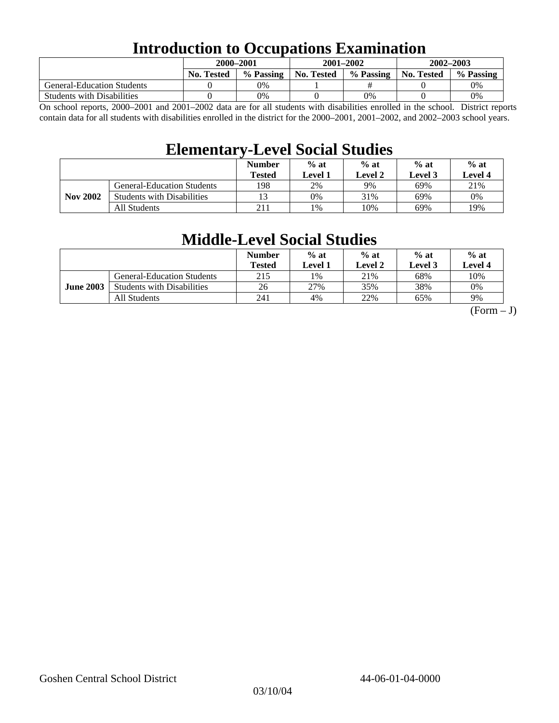# **Introduction to Occupations Examination**

|                                   | 2000-2001         |           | $2001 - 2002$ |           | 2002-2003         |           |  |
|-----------------------------------|-------------------|-----------|---------------|-----------|-------------------|-----------|--|
|                                   | <b>No. Tested</b> | % Passing | No. Tested    | % Passing | <b>No. Tested</b> | % Passing |  |
| <b>General-Education Students</b> |                   | 0%        |               |           |                   | 0%        |  |
| <b>Students with Disabilities</b> |                   | 0%        |               | 0%        |                   | 0%        |  |

On school reports, 2000–2001 and 2001–2002 data are for all students with disabilities enrolled in the school. District reports contain data for all students with disabilities enrolled in the district for the 2000–2001, 2001–2002, and 2002–2003 school years.

## **Elementary-Level Social Studies**

|                 |                                   | <b>Number</b><br>Tested | $%$ at<br>$%$ at<br>Level 2<br>Level 1 |     | $%$ at<br>Level 3 | $%$ at<br>Level 4 |
|-----------------|-----------------------------------|-------------------------|----------------------------------------|-----|-------------------|-------------------|
| <b>Nov 2002</b> | <b>General-Education Students</b> | 198                     | 2%                                     | 9%  | 69%               | 21%               |
|                 | <b>Students with Disabilities</b> | 13                      | 0%                                     | 31% | 69%               | 0%                |
|                 | All Students                      | 211                     | $\frac{9}{6}$                          | 10% | 69%               | 19%               |

# **Middle-Level Social Studies**

|                  |                                   | <b>Number</b><br>Tested | $%$ at<br>Level 1 | $%$ at<br>Level 2 | $%$ at<br>Level 3 | $%$ at<br>Level 4 |
|------------------|-----------------------------------|-------------------------|-------------------|-------------------|-------------------|-------------------|
| <b>June 2003</b> | <b>General-Education Students</b> | 215                     | $1\%$             | 21%               | 68%               | 10%               |
|                  | <b>Students with Disabilities</b> | 26                      | 27%               | 35%               | 38%               | 0%                |
|                  | All Students                      | 241                     | 4%                | 22%               | 65%               | 9%                |

 $(Form - J)$